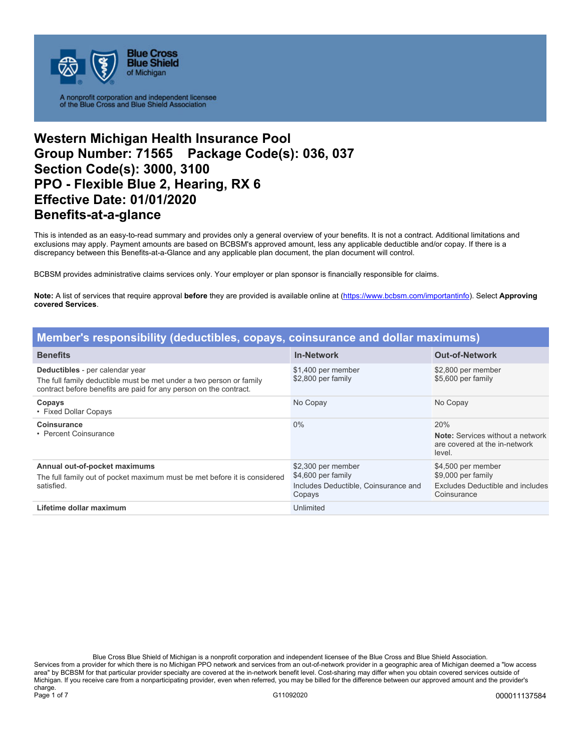

A nonprofit corporation and independent licensee<br>of the Blue Cross and Blue Shield Association

## **Western Michigan Health Insurance Pool Group Number: 71565 Package Code(s): 036, 037 Section Code(s): 3000, 3100 PPO - Flexible Blue 2, Hearing, RX 6 Effective Date: 01/01/2020 Benefits-at-a-glance**

This is intended as an easy-to-read summary and provides only a general overview of your benefits. It is not a contract. Additional limitations and exclusions may apply. Payment amounts are based on BCBSM's approved amount, less any applicable deductible and/or copay. If there is a discrepancy between this Benefits-at-a-Glance and any applicable plan document, the plan document will control.

BCBSM provides administrative claims services only. Your employer or plan sponsor is financially responsible for claims.

**Note:** A list of services that require approval **before** they are provided is available online at (https://www.bcbsm.com/importantinfo). Select **Approving covered Services**.

| Member's responsibility (deductibles, copays, coinsurance and dollar maximums)                                                                                              |                                                                                            |                                                                                             |
|-----------------------------------------------------------------------------------------------------------------------------------------------------------------------------|--------------------------------------------------------------------------------------------|---------------------------------------------------------------------------------------------|
| <b>Benefits</b>                                                                                                                                                             | <b>In-Network</b>                                                                          | <b>Out-of-Network</b>                                                                       |
| Deductibles - per calendar year<br>The full family deductible must be met under a two person or family<br>contract before benefits are paid for any person on the contract. | \$1,400 per member<br>\$2,800 per family                                                   | \$2,800 per member<br>\$5,600 per family                                                    |
| Copays<br>• Fixed Dollar Copays                                                                                                                                             | No Copay                                                                                   | No Copay                                                                                    |
| <b>Coinsurance</b><br>• Percent Coinsurance                                                                                                                                 | $0\%$                                                                                      | 20%<br><b>Note:</b> Services without a network<br>are covered at the in-network<br>level.   |
| Annual out-of-pocket maximums<br>The full family out of pocket maximum must be met before it is considered<br>satisfied.                                                    | \$2,300 per member<br>\$4,600 per family<br>Includes Deductible, Coinsurance and<br>Copays | \$4,500 per member<br>\$9,000 per family<br>Excludes Deductible and includes<br>Coinsurance |
| Lifetime dollar maximum                                                                                                                                                     | Unlimited                                                                                  |                                                                                             |

Blue Cross Blue Shield of Michigan is a nonprofit corporation and independent licensee of the Blue Cross and Blue Shield Association. Services from a provider for which there is no Michigan PPO network and services from an out-of-network provider in a geographic area of Michigan deemed a "low access area" by BCBSM for that particular provider specialty are covered at the in-network benefit level. Cost-sharing may differ when you obtain covered services outside of Michigan. If you receive care from a nonparticipating provider, even when referred, you may be billed for the difference between our approved amount and the provider's charge. Page 1 of 7 G11092020 **G11092020** G11092020 **G11092020** G11092020 G11092020 G11092020 COOPERATE GENERAL METAL ST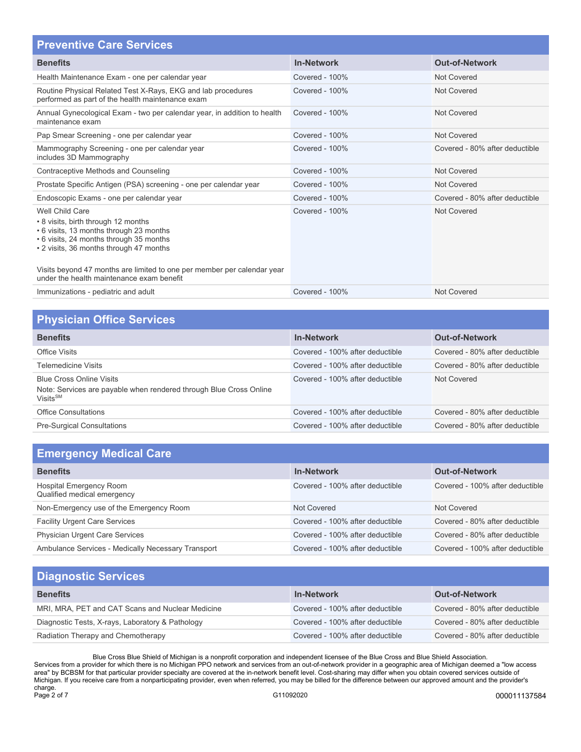| <b>Preventive Care Services</b>                                                                                                                                                                                                                                                                                 |                   |                                |
|-----------------------------------------------------------------------------------------------------------------------------------------------------------------------------------------------------------------------------------------------------------------------------------------------------------------|-------------------|--------------------------------|
| <b>Benefits</b>                                                                                                                                                                                                                                                                                                 | <b>In-Network</b> | <b>Out-of-Network</b>          |
| Health Maintenance Exam - one per calendar year                                                                                                                                                                                                                                                                 | Covered - 100%    | <b>Not Covered</b>             |
| Routine Physical Related Test X-Rays, EKG and lab procedures<br>performed as part of the health maintenance exam                                                                                                                                                                                                | Covered - 100%    | Not Covered                    |
| Annual Gynecological Exam - two per calendar year, in addition to health<br>maintenance exam                                                                                                                                                                                                                    | Covered - 100%    | Not Covered                    |
| Pap Smear Screening - one per calendar year                                                                                                                                                                                                                                                                     | Covered - 100%    | Not Covered                    |
| Mammography Screening - one per calendar year<br>includes 3D Mammography                                                                                                                                                                                                                                        | Covered - 100%    | Covered - 80% after deductible |
| Contraceptive Methods and Counseling                                                                                                                                                                                                                                                                            | Covered - 100%    | <b>Not Covered</b>             |
| Prostate Specific Antigen (PSA) screening - one per calendar year                                                                                                                                                                                                                                               | Covered - 100%    | <b>Not Covered</b>             |
| Endoscopic Exams - one per calendar year                                                                                                                                                                                                                                                                        | Covered - 100%    | Covered - 80% after deductible |
| Well Child Care<br>• 8 visits, birth through 12 months<br>• 6 visits, 13 months through 23 months<br>• 6 visits, 24 months through 35 months<br>• 2 visits, 36 months through 47 months<br>Visits beyond 47 months are limited to one per member per calendar year<br>under the health maintenance exam benefit | Covered - 100%    | Not Covered                    |
| Immunizations - pediatric and adult                                                                                                                                                                                                                                                                             | Covered - 100%    | Not Covered                    |

| <b>Physician Office Services</b>                                                                                              |                                 |                                |
|-------------------------------------------------------------------------------------------------------------------------------|---------------------------------|--------------------------------|
| <b>Benefits</b>                                                                                                               | <b>In-Network</b>               | <b>Out-of-Network</b>          |
| <b>Office Visits</b>                                                                                                          | Covered - 100% after deductible | Covered - 80% after deductible |
| <b>Telemedicine Visits</b>                                                                                                    | Covered - 100% after deductible | Covered - 80% after deductible |
| <b>Blue Cross Online Visits</b><br>Note: Services are payable when rendered through Blue Cross Online<br>Visits <sup>SM</sup> | Covered - 100% after deductible | Not Covered                    |
| <b>Office Consultations</b>                                                                                                   | Covered - 100% after deductible | Covered - 80% after deductible |
| <b>Pre-Surgical Consultations</b>                                                                                             | Covered - 100% after deductible | Covered - 80% after deductible |

| <b>Emergency Medical Care</b>                          |                                 |                                 |
|--------------------------------------------------------|---------------------------------|---------------------------------|
| <b>Benefits</b>                                        | <b>In-Network</b>               | <b>Out-of-Network</b>           |
| Hospital Emergency Room<br>Qualified medical emergency | Covered - 100% after deductible | Covered - 100% after deductible |
| Non-Emergency use of the Emergency Room                | Not Covered                     | Not Covered                     |
| <b>Facility Urgent Care Services</b>                   | Covered - 100% after deductible | Covered - 80% after deductible  |
| Physician Urgent Care Services                         | Covered - 100% after deductible | Covered - 80% after deductible  |
| Ambulance Services - Medically Necessary Transport     | Covered - 100% after deductible | Covered - 100% after deductible |

| <b>Diagnostic Services</b>                       |                                 |                                |
|--------------------------------------------------|---------------------------------|--------------------------------|
| <b>Benefits</b>                                  | <b>In-Network</b>               | <b>Out-of-Network</b>          |
| MRI, MRA, PET and CAT Scans and Nuclear Medicine | Covered - 100% after deductible | Covered - 80% after deductible |
| Diagnostic Tests, X-rays, Laboratory & Pathology | Covered - 100% after deductible | Covered - 80% after deductible |
| Radiation Therapy and Chemotherapy               | Covered - 100% after deductible | Covered - 80% after deductible |

Blue Cross Blue Shield of Michigan is a nonprofit corporation and independent licensee of the Blue Cross and Blue Shield Association. Services from a provider for which there is no Michigan PPO network and services from an out-of-network provider in a geographic area of Michigan deemed a "low access area" by BCBSM for that particular provider specialty are covered at the in-network benefit level. Cost-sharing may differ when you obtain covered services outside of Michigan. If you receive care from a nonparticipating provider, even when referred, you may be billed for the difference between our approved amount and the provider's charge. Page 2 of 7 Channel Communication of the Communication of Canada Communication of Canada Communication of Communication of Communication of Communication of Communication of Communication of Communication of Communication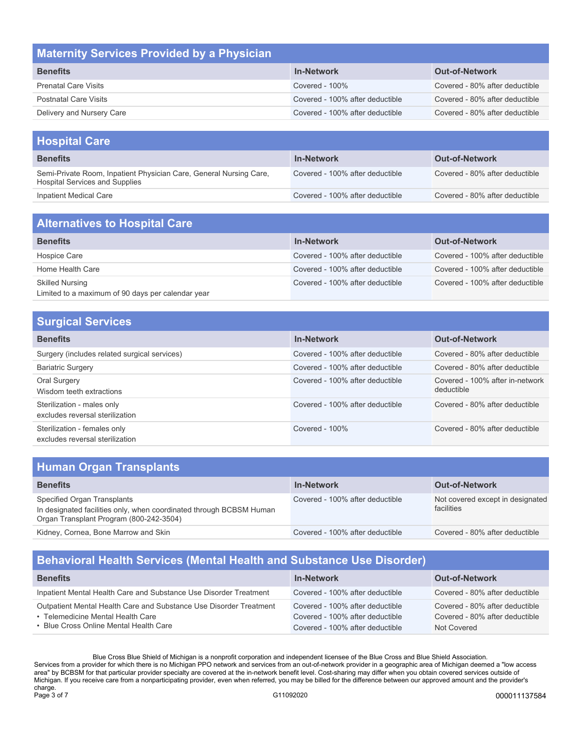| <b>Maternity Services Provided by a Physician</b> |                                 |                                |
|---------------------------------------------------|---------------------------------|--------------------------------|
| <b>Benefits</b>                                   | <b>In-Network</b>               | <b>Out-of-Network</b>          |
| <b>Prenatal Care Visits</b>                       | Covered - 100%                  | Covered - 80% after deductible |
| <b>Postnatal Care Visits</b>                      | Covered - 100% after deductible | Covered - 80% after deductible |
| Delivery and Nursery Care                         | Covered - 100% after deductible | Covered - 80% after deductible |

| <b>Hospital Care</b>                                                                                        |                                 |                                |
|-------------------------------------------------------------------------------------------------------------|---------------------------------|--------------------------------|
| <b>Benefits</b>                                                                                             | <b>In-Network</b>               | <b>Out-of-Network</b>          |
| Semi-Private Room, Inpatient Physician Care, General Nursing Care,<br><b>Hospital Services and Supplies</b> | Covered - 100% after deductible | Covered - 80% after deductible |
| Inpatient Medical Care                                                                                      | Covered - 100% after deductible | Covered - 80% after deductible |

| <b>Alternatives to Hospital Care</b>                                        |                                 |                                 |
|-----------------------------------------------------------------------------|---------------------------------|---------------------------------|
| <b>Benefits</b>                                                             | <b>In-Network</b>               | <b>Out-of-Network</b>           |
| Hospice Care                                                                | Covered - 100% after deductible | Covered - 100% after deductible |
| Home Health Care                                                            | Covered - 100% after deductible | Covered - 100% after deductible |
| <b>Skilled Nursing</b><br>Limited to a maximum of 90 days per calendar year | Covered - 100% after deductible | Covered - 100% after deductible |

| <b>Surgical Services</b>                                        |                                 |                                               |
|-----------------------------------------------------------------|---------------------------------|-----------------------------------------------|
| <b>Benefits</b>                                                 | <b>In-Network</b>               | <b>Out-of-Network</b>                         |
| Surgery (includes related surgical services)                    | Covered - 100% after deductible | Covered - 80% after deductible                |
| <b>Bariatric Surgery</b>                                        | Covered - 100% after deductible | Covered - 80% after deductible                |
| Oral Surgery<br>Wisdom teeth extractions                        | Covered - 100% after deductible | Covered - 100% after in-network<br>deductible |
| Sterilization - males only<br>excludes reversal sterilization   | Covered - 100% after deductible | Covered - 80% after deductible                |
| Sterilization - females only<br>excludes reversal sterilization | Covered - $100\%$               | Covered - 80% after deductible                |

| <b>Human Organ Transplants</b>                                                                                                                |                                 |                                                |
|-----------------------------------------------------------------------------------------------------------------------------------------------|---------------------------------|------------------------------------------------|
| <b>Benefits</b>                                                                                                                               | <b>In-Network</b>               | <b>Out-of-Network</b>                          |
| Specified Organ Transplants<br>In designated facilities only, when coordinated through BCBSM Human<br>Organ Transplant Program (800-242-3504) | Covered - 100% after deductible | Not covered except in designated<br>facilities |
| Kidney, Cornea, Bone Marrow and Skin                                                                                                          | Covered - 100% after deductible | Covered - 80% after deductible                 |

# **Behavioral Health Services (Mental Health and Substance Use Disorder)**

| <b>Benefits</b>                                                                                                                                   | <b>In-Network</b>                                                                                     | <b>Out-of-Network</b>                                                           |
|---------------------------------------------------------------------------------------------------------------------------------------------------|-------------------------------------------------------------------------------------------------------|---------------------------------------------------------------------------------|
| Inpatient Mental Health Care and Substance Use Disorder Treatment                                                                                 | Covered - 100% after deductible                                                                       | Covered - 80% after deductible                                                  |
| Outpatient Mental Health Care and Substance Use Disorder Treatment<br>• Telemedicine Mental Health Care<br>• Blue Cross Online Mental Health Care | Covered - 100% after deductible<br>Covered - 100% after deductible<br>Covered - 100% after deductible | Covered - 80% after deductible<br>Covered - 80% after deductible<br>Not Covered |

Blue Cross Blue Shield of Michigan is a nonprofit corporation and independent licensee of the Blue Cross and Blue Shield Association. Services from a provider for which there is no Michigan PPO network and services from an out-of-network provider in a geographic area of Michigan deemed a "low access area" by BCBSM for that particular provider specialty are covered at the in-network benefit level. Cost-sharing may differ when you obtain covered services outside of Michigan. If you receive care from a nonparticipating provider, even when referred, you may be billed for the difference between our approved amount and the provider's charge.<br>Page 3 of 7 Page 3 of 7 G11092020 **G11092020** G11092020 **G11092020** G11092020 G11092020 G11092020 COOSTABLE TO BLE TO BLE TO BLE TO BLE TO BLE TO BLE TO BLE TO BLE TO BLE TO BLE TO BLE TO BLE TO BLE TO BLE TO BLE TO BLE TO BLE TO BLE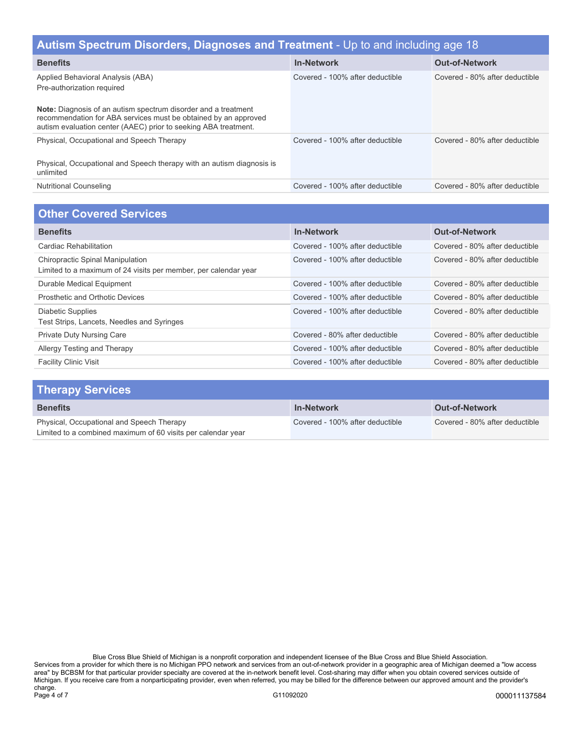| Autism Spectrum Disorders, Diagnoses and Treatment - Up to and including age 18                                                                                                                                                                                                |                                 |                                |
|--------------------------------------------------------------------------------------------------------------------------------------------------------------------------------------------------------------------------------------------------------------------------------|---------------------------------|--------------------------------|
| <b>Benefits</b>                                                                                                                                                                                                                                                                | <b>In-Network</b>               | <b>Out-of-Network</b>          |
| Applied Behavioral Analysis (ABA)<br>Pre-authorization required<br><b>Note:</b> Diagnosis of an autism spectrum disorder and a treatment<br>recommendation for ABA services must be obtained by an approved<br>autism evaluation center (AAEC) prior to seeking ABA treatment. | Covered - 100% after deductible | Covered - 80% after deductible |
| Physical, Occupational and Speech Therapy<br>Physical, Occupational and Speech therapy with an autism diagnosis is<br>unlimited                                                                                                                                                | Covered - 100% after deductible | Covered - 80% after deductible |
| <b>Nutritional Counseling</b>                                                                                                                                                                                                                                                  | Covered - 100% after deductible | Covered - 80% after deductible |
|                                                                                                                                                                                                                                                                                |                                 |                                |

#### **Other Covered Services**

| <b>Benefits</b>                                                                                            | <b>In-Network</b>               | <b>Out-of-Network</b>          |
|------------------------------------------------------------------------------------------------------------|---------------------------------|--------------------------------|
| Cardiac Rehabilitation                                                                                     | Covered - 100% after deductible | Covered - 80% after deductible |
| <b>Chiropractic Spinal Manipulation</b><br>Limited to a maximum of 24 visits per member, per calendar year | Covered - 100% after deductible | Covered - 80% after deductible |
| Durable Medical Equipment                                                                                  | Covered - 100% after deductible | Covered - 80% after deductible |
| Prosthetic and Orthotic Devices                                                                            | Covered - 100% after deductible | Covered - 80% after deductible |
| Diabetic Supplies<br>Test Strips, Lancets, Needles and Syringes                                            | Covered - 100% after deductible | Covered - 80% after deductible |
| <b>Private Duty Nursing Care</b>                                                                           | Covered - 80% after deductible  | Covered - 80% after deductible |
| Allergy Testing and Therapy                                                                                | Covered - 100% after deductible | Covered - 80% after deductible |
| <b>Facility Clinic Visit</b>                                                                               | Covered - 100% after deductible | Covered - 80% after deductible |

| <b>Therapy Services</b>                                                                                   |                                 |                                |
|-----------------------------------------------------------------------------------------------------------|---------------------------------|--------------------------------|
| <b>Benefits</b>                                                                                           | <b>In-Network</b>               | <b>Out-of-Network</b>          |
| Physical, Occupational and Speech Therapy<br>Limited to a combined maximum of 60 visits per calendar year | Covered - 100% after deductible | Covered - 80% after deductible |

Blue Cross Blue Shield of Michigan is a nonprofit corporation and independent licensee of the Blue Cross and Blue Shield Association. Services from a provider for which there is no Michigan PPO network and services from an out-of-network provider in a geographic area of Michigan deemed a "low access area" by BCBSM for that particular provider specialty are covered at the in-network benefit level. Cost-sharing may differ when you obtain covered services outside of Michigan. If you receive care from a nonparticipating provider, even when referred, you may be billed for the difference between our approved amount and the provider's charge.<br>Page 4 of 7 Page 4 of 7 G11092020 000011137584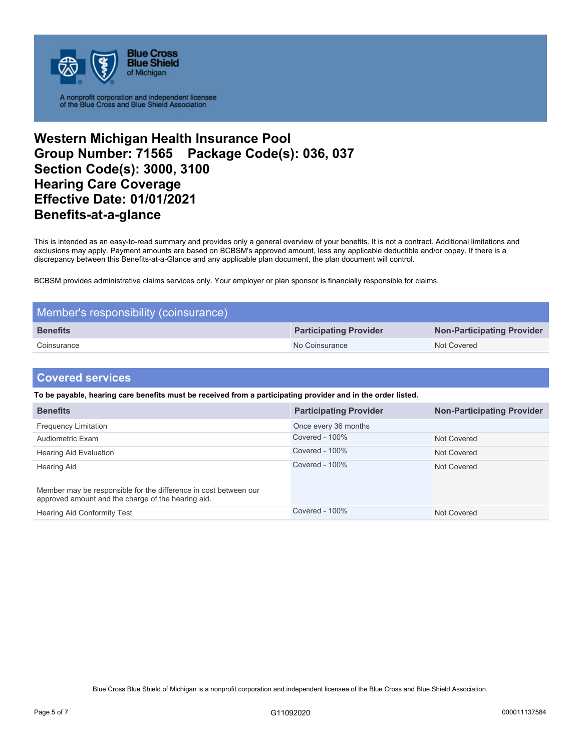

A nonprofit corporation and independent licensee<br>of the Blue Cross and Blue Shield Association

### **Western Michigan Health Insurance Pool Group Number: 71565 Package Code(s): 036, 037 Section Code(s): 3000, 3100 Hearing Care Coverage Effective Date: 01/01/2021 Benefits-at-a-glance**

This is intended as an easy-to-read summary and provides only a general overview of your benefits. It is not a contract. Additional limitations and exclusions may apply. Payment amounts are based on BCBSM's approved amount, less any applicable deductible and/or copay. If there is a discrepancy between this Benefits-at-a-Glance and any applicable plan document, the plan document will control.

BCBSM provides administrative claims services only. Your employer or plan sponsor is financially responsible for claims.

| Member's responsibility (coinsurance) |                               |                            |
|---------------------------------------|-------------------------------|----------------------------|
| <b>Benefits</b>                       | <b>Participating Provider</b> | Non-Participating Provider |
| Coinsurance                           | No Coinsurance                | Not Covered                |

#### **Covered services**

**To be payable, hearing care benefits must be received from a participating provider and in the order listed.**

| <b>Benefits</b>                                                                                                        | <b>Participating Provider</b> | <b>Non-Participating Provider</b> |
|------------------------------------------------------------------------------------------------------------------------|-------------------------------|-----------------------------------|
| <b>Frequency Limitation</b>                                                                                            | Once every 36 months          |                                   |
| Audiometric Exam                                                                                                       | Covered - 100%                | Not Covered                       |
| <b>Hearing Aid Evaluation</b>                                                                                          | Covered - 100%                | Not Covered                       |
| Hearing Aid                                                                                                            | Covered - 100%                | Not Covered                       |
| Member may be responsible for the difference in cost between our<br>approved amount and the charge of the hearing aid. |                               |                                   |
| <b>Hearing Aid Conformity Test</b>                                                                                     | Covered - 100%                | Not Covered                       |

Blue Cross Blue Shield of Michigan is a nonprofit corporation and independent licensee of the Blue Cross and Blue Shield Association.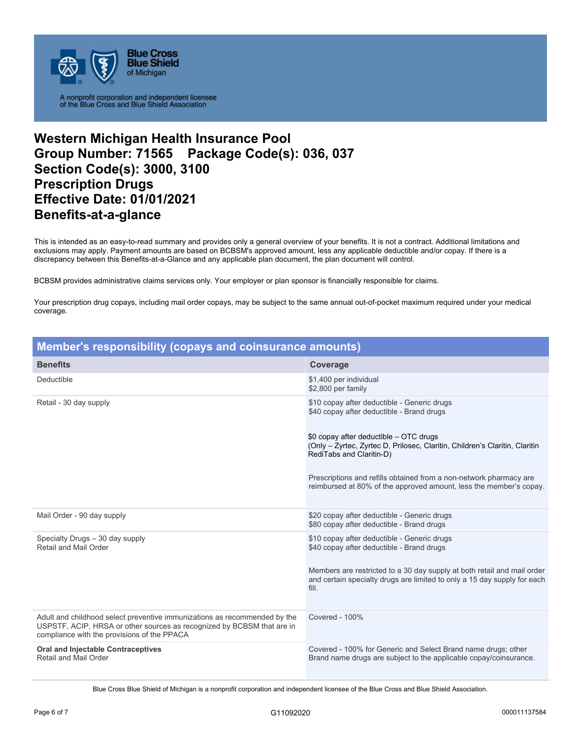

A nonprofit corporation and independent licensee<br>of the Blue Cross and Blue Shield Association

## **Western Michigan Health Insurance Pool Group Number: 71565 Package Code(s): 036, 037 Section Code(s): 3000, 3100 Prescription Drugs Effective Date: 01/01/2021 Benefits-at-a-glance**

This is intended as an easy-to-read summary and provides only a general overview of your benefits. It is not a contract. Additional limitations and exclusions may apply. Payment amounts are based on BCBSM's approved amount, less any applicable deductible and/or copay. If there is a discrepancy between this Benefits-at-a-Glance and any applicable plan document, the plan document will control.

BCBSM provides administrative claims services only. Your employer or plan sponsor is financially responsible for claims.

Your prescription drug copays, including mail order copays, may be subject to the same annual out-of-pocket maximum required under your medical coverage.

| Member's responsibility (copays and coinsurance amounts)                                                                                                                                           |                                                                                                                                                                                                                                                                                                                                                                                           |  |
|----------------------------------------------------------------------------------------------------------------------------------------------------------------------------------------------------|-------------------------------------------------------------------------------------------------------------------------------------------------------------------------------------------------------------------------------------------------------------------------------------------------------------------------------------------------------------------------------------------|--|
| <b>Benefits</b>                                                                                                                                                                                    | Coverage                                                                                                                                                                                                                                                                                                                                                                                  |  |
| Deductible                                                                                                                                                                                         | \$1,400 per individual<br>\$2,800 per family                                                                                                                                                                                                                                                                                                                                              |  |
| Retail - 30 day supply                                                                                                                                                                             | \$10 copay after deductible - Generic drugs<br>\$40 copay after deductible - Brand drugs<br>\$0 copay after deductible - OTC drugs<br>(Only - Zyrtec, Zyrtec D, Prilosec, Claritin, Children's Claritin, Claritin<br>RediTabs and Claritin-D)<br>Prescriptions and refills obtained from a non-network pharmacy are<br>reimbursed at 80% of the approved amount, less the member's copay. |  |
| Mail Order - 90 day supply                                                                                                                                                                         | \$20 copay after deductible - Generic drugs<br>\$80 copay after deductible - Brand drugs                                                                                                                                                                                                                                                                                                  |  |
| Specialty Drugs - 30 day supply<br>Retail and Mail Order                                                                                                                                           | \$10 copay after deductible - Generic drugs<br>\$40 copay after deductible - Brand drugs<br>Members are restricted to a 30 day supply at both retail and mail order<br>and certain specialty drugs are limited to only a 15 day supply for each<br>fill.                                                                                                                                  |  |
| Adult and childhood select preventive immunizations as recommended by the<br>USPSTF, ACIP, HRSA or other sources as recognized by BCBSM that are in<br>compliance with the provisions of the PPACA | Covered - 100%                                                                                                                                                                                                                                                                                                                                                                            |  |
| <b>Oral and Injectable Contraceptives</b><br>Retail and Mail Order                                                                                                                                 | Covered - 100% for Generic and Select Brand name drugs; other<br>Brand name drugs are subject to the applicable copay/coinsurance.                                                                                                                                                                                                                                                        |  |

Blue Cross Blue Shield of Michigan is a nonprofit corporation and independent licensee of the Blue Cross and Blue Shield Association.